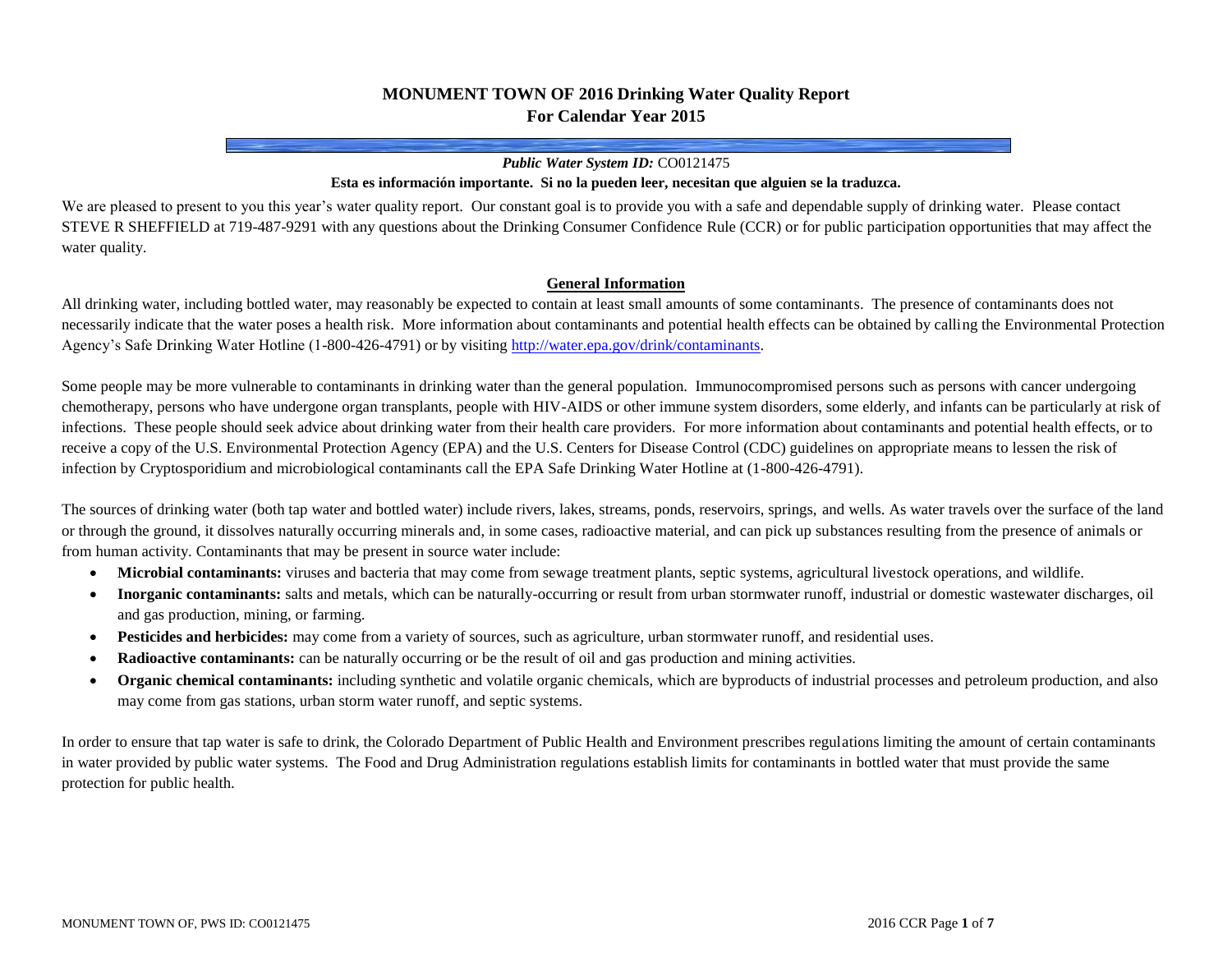# **MONUMENT TOWN OF 2016 Drinking Water Quality Report For Calendar Year 2015**

### *Public Water System ID:* CO0121475

#### **Esta es información importante. Si no la pueden leer, necesitan que alguien se la traduzca.**

We are pleased to present to you this year's water quality report. Our constant goal is to provide you with a safe and dependable supply of drinking water. Please contact STEVE R SHEFFIELD at 719-487-9291 with any questions about the Drinking Consumer Confidence Rule (CCR) or for public participation opportunities that may affect the water quality.

### **General Information**

All drinking water, including bottled water, may reasonably be expected to contain at least small amounts of some contaminants. The presence of contaminants does not necessarily indicate that the water poses a health risk. More information about contaminants and potential health effects can be obtained by calling the Environmental Protection Agency's Safe Drinking Water Hotline (1-800-426-4791) or by visitin[g http://water.epa.gov/drink/contaminants.](http://water.epa.gov/drink/contaminants)

Some people may be more vulnerable to contaminants in drinking water than the general population. Immunocompromised persons such as persons with cancer undergoing chemotherapy, persons who have undergone organ transplants, people with HIV-AIDS or other immune system disorders, some elderly, and infants can be particularly at risk of infections. These people should seek advice about drinking water from their health care providers. For more information about contaminants and potential health effects, or to receive a copy of the U.S. Environmental Protection Agency (EPA) and the U.S. Centers for Disease Control (CDC) guidelines on appropriate means to lessen the risk of infection by Cryptosporidium and microbiological contaminants call the EPA Safe Drinking Water Hotline at (1-800-426-4791).

The sources of drinking water (both tap water and bottled water) include rivers, lakes, streams, ponds, reservoirs, springs, and wells. As water travels over the surface of the land or through the ground, it dissolves naturally occurring minerals and, in some cases, radioactive material, and can pick up substances resulting from the presence of animals or from human activity. Contaminants that may be present in source water include:

- **Microbial contaminants:** viruses and bacteria that may come from sewage treatment plants, septic systems, agricultural livestock operations, and wildlife.
- **Inorganic contaminants:** salts and metals, which can be naturally-occurring or result from urban stormwater runoff, industrial or domestic wastewater discharges, oil and gas production, mining, or farming.
- **Pesticides and herbicides:** may come from a variety of sources, such as agriculture, urban stormwater runoff, and residential uses.
- **Radioactive contaminants:** can be naturally occurring or be the result of oil and gas production and mining activities.
- **Organic chemical contaminants:** including synthetic and volatile organic chemicals, which are byproducts of industrial processes and petroleum production, and also may come from gas stations, urban storm water runoff, and septic systems.

In order to ensure that tap water is safe to drink, the Colorado Department of Public Health and Environment prescribes regulations limiting the amount of certain contaminants in water provided by public water systems. The Food and Drug Administration regulations establish limits for contaminants in bottled water that must provide the same protection for public health.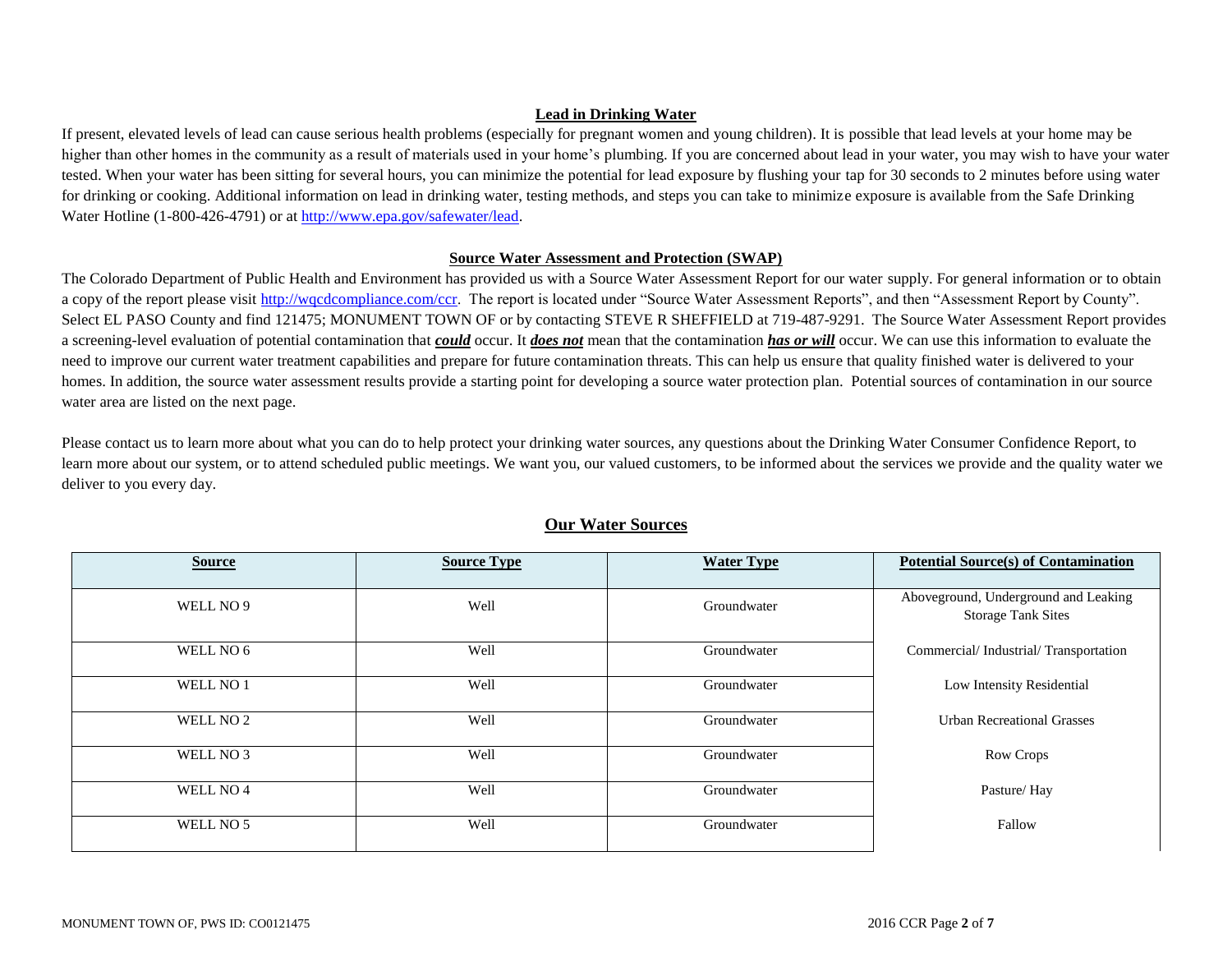### **Lead in Drinking Water**

If present, elevated levels of lead can cause serious health problems (especially for pregnant women and young children). It is possible that lead levels at your home may be higher than other homes in the community as a result of materials used in your home's plumbing. If you are concerned about lead in your water, you may wish to have your water tested. When your water has been sitting for several hours, you can minimize the potential for lead exposure by flushing your tap for 30 seconds to 2 minutes before using water for drinking or cooking. Additional information on lead in drinking water, testing methods, and steps you can take to minimize exposure is available from the Safe Drinking Water Hotline (1-800-426-4791) or a[t http://www.epa.gov/safewater/lead.](http://www.epa.gov/safewater/lead)

### **Source Water Assessment and Protection (SWAP)**

The Colorado Department of Public Health and Environment has provided us with a Source Water Assessment Report for our water supply. For general information or to obtain a copy of the report please visit [http://wqcdcompliance.com/ccr.](http://wqcdcompliance.com/ccr) The report is located under "Source Water Assessment Reports", and then "Assessment Report by County". Select EL PASO County and find 121475; MONUMENT TOWN OF or by contacting STEVE R SHEFFIELD at 719-487-9291. The Source Water Assessment Report provides a screening-level evaluation of potential contamination that *could* occur. It *does not* mean that the contamination *has or will* occur. We can use this information to evaluate the need to improve our current water treatment capabilities and prepare for future contamination threats. This can help us ensure that quality finished water is delivered to your homes. In addition, the source water assessment results provide a starting point for developing a source water protection plan. Potential sources of contamination in our source water area are listed on the next page.

Please contact us to learn more about what you can do to help protect your drinking water sources, any questions about the Drinking Water Consumer Confidence Report, to learn more about our system, or to attend scheduled public meetings. We want you, our valued customers, to be informed about the services we provide and the quality water we deliver to you every day.

| <b>Source</b>        | <b>Source Type</b> | <b>Water Type</b> | <b>Potential Source(s) of Contamination</b>                       |
|----------------------|--------------------|-------------------|-------------------------------------------------------------------|
| WELL NO 9            | Well               | Groundwater       | Aboveground, Underground and Leaking<br><b>Storage Tank Sites</b> |
| WELL NO 6            | Well               | Groundwater       | Commercial/Industrial/Transportation                              |
| WELL NO 1            | Well               | Groundwater       | Low Intensity Residential                                         |
| WELL NO <sub>2</sub> | Well               | Groundwater       | <b>Urban Recreational Grasses</b>                                 |
| WELL NO 3            | Well               | Groundwater       | Row Crops                                                         |
| WELL NO <sub>4</sub> | Well               | Groundwater       | Pasture/Hay                                                       |
| WELL NO 5            | Well               | Groundwater       | Fallow                                                            |

# **Our Water Sources**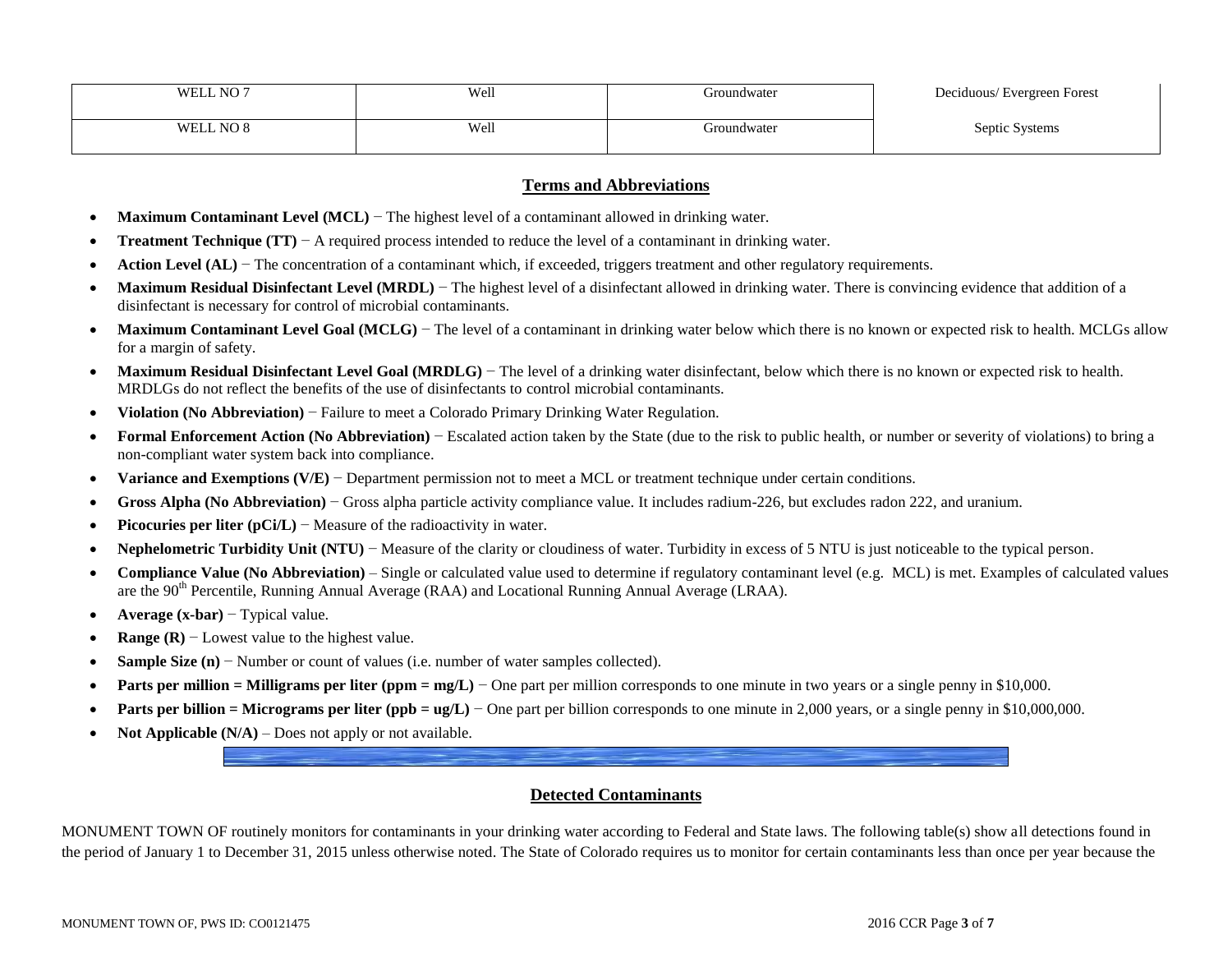| NO7<br>WEI       | Well                         | iroundwater | Deciduous/Evergreen Forest<br>$\circ$ |
|------------------|------------------------------|-------------|---------------------------------------|
|                  |                              |             |                                       |
| $N\cap P$<br>WEI | Well<br>$\sim$ $\sim$ $\sim$ | roundwater  | Septic<br>Systems                     |
|                  |                              |             |                                       |

### **Terms and Abbreviations**

- **Maximum Contaminant Level (MCL)** − The highest level of a contaminant allowed in drinking water.
- **Treatment Technique (TT)** − A required process intended to reduce the level of a contaminant in drinking water.
- **Action Level (AL)** − The concentration of a contaminant which, if exceeded, triggers treatment and other regulatory requirements.
- **Maximum Residual Disinfectant Level (MRDL)** The highest level of a disinfectant allowed in drinking water. There is convincing evidence that addition of a disinfectant is necessary for control of microbial contaminants.
- Maximum Contaminant Level Goal (MCLG) The level of a contaminant in drinking water below which there is no known or expected risk to health. MCLGs allow for a margin of safety.
- Maximum Residual Disinfectant Level Goal (MRDLG) The level of a drinking water disinfectant, below which there is no known or expected risk to health. MRDLGs do not reflect the benefits of the use of disinfectants to control microbial contaminants.
- **Violation (No Abbreviation)** − Failure to meet a Colorado Primary Drinking Water Regulation.
- **Formal Enforcement Action (No Abbreviation)** − Escalated action taken by the State (due to the risk to public health, or number or severity of violations) to bring a non-compliant water system back into compliance.
- **Variance and Exemptions (V/E)** − Department permission not to meet a MCL or treatment technique under certain conditions.
- **Gross Alpha (No Abbreviation)** − Gross alpha particle activity compliance value. It includes radium-226, but excludes radon 222, and uranium.
- **Picocuries per liter (pCi/L)** − Measure of the radioactivity in water.
- **Nephelometric Turbidity Unit (NTU)** − Measure of the clarity or cloudiness of water. Turbidity in excess of 5 NTU is just noticeable to the typical person.
- **Compliance Value (No Abbreviation)** Single or calculated value used to determine if regulatory contaminant level (e.g. MCL) is met. Examples of calculated values are the 90<sup>th</sup> Percentile, Running Annual Average (RAA) and Locational Running Annual Average (LRAA).
- **Average (x-bar)** − Typical value.
- **Range (R)** − Lowest value to the highest value.
- **Sample Size (n)** − Number or count of values (i.e. number of water samples collected).
- **Parts per million = Milligrams per liter (ppm = mg/L)** One part per million corresponds to one minute in two years or a single penny in \$10,000.
- **Parts per billion = Micrograms per liter (ppb = ug/L)** One part per billion corresponds to one minute in 2,000 years, or a single penny in \$10,000,000.
- **Not Applicable**  $(N/A)$  Does not apply or not available.

### **Detected Contaminants**

MONUMENT TOWN OF routinely monitors for contaminants in your drinking water according to Federal and State laws. The following table(s) show all detections found in the period of January 1 to December 31, 2015 unless otherwise noted. The State of Colorado requires us to monitor for certain contaminants less than once per year because the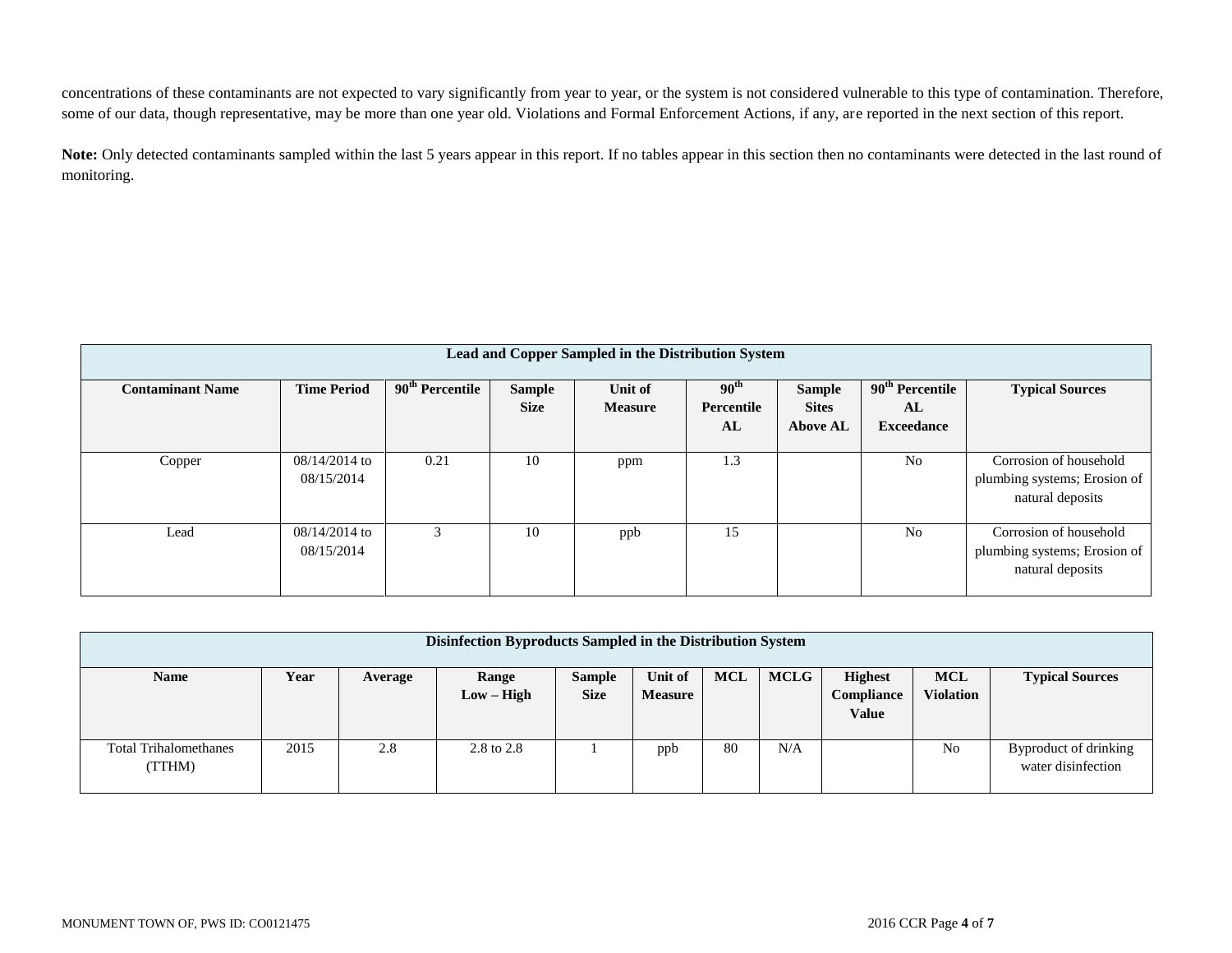concentrations of these contaminants are not expected to vary significantly from year to year, or the system is not considered vulnerable to this type of contamination. Therefore, some of our data, though representative, may be more than one year old. Violations and Formal Enforcement Actions, if any, are reported in the next section of this report.

**Note:** Only detected contaminants sampled within the last 5 years appear in this report. If no tables appear in this section then no contaminants were detected in the last round of monitoring.

| Lead and Copper Sampled in the Distribution System |                               |                   |                              |                           |                                      |                                                  |                                                        |                                                                            |
|----------------------------------------------------|-------------------------------|-------------------|------------------------------|---------------------------|--------------------------------------|--------------------------------------------------|--------------------------------------------------------|----------------------------------------------------------------------------|
| <b>Contaminant Name</b>                            | <b>Time Period</b>            | $90th$ Percentile | <b>Sample</b><br><b>Size</b> | Unit of<br><b>Measure</b> | 90 <sup>th</sup><br>Percentile<br>AL | <b>Sample</b><br><b>Sites</b><br><b>Above AL</b> | 90 <sup>th</sup> Percentile<br>AL<br><b>Exceedance</b> | <b>Typical Sources</b>                                                     |
| Copper                                             | $08/14/2014$ to<br>08/15/2014 | 0.21              | 10                           | ppm                       | 1.3                                  |                                                  | N <sub>o</sub>                                         | Corrosion of household<br>plumbing systems; Erosion of<br>natural deposits |
| Lead                                               | $08/14/2014$ to<br>08/15/2014 | 3                 | 10                           | ppb                       | 15                                   |                                                  | N <sub>o</sub>                                         | Corrosion of household<br>plumbing systems; Erosion of<br>natural deposits |

| Disinfection Byproducts Sampled in the Distribution System |      |         |                       |                              |                           |            |             |                                              |                                |                                             |
|------------------------------------------------------------|------|---------|-----------------------|------------------------------|---------------------------|------------|-------------|----------------------------------------------|--------------------------------|---------------------------------------------|
| <b>Name</b>                                                | Year | Average | Range<br>$Low - High$ | <b>Sample</b><br><b>Size</b> | Unit of<br><b>Measure</b> | <b>MCL</b> | <b>MCLG</b> | <b>Highest</b><br>Compliance<br><b>Value</b> | <b>MCL</b><br><b>Violation</b> | <b>Typical Sources</b>                      |
| <b>Total Trihalomethanes</b><br>(TTHM)                     | 2015 | 2.8     | 2.8 to 2.8            |                              | ppb                       | 80         | N/A         |                                              | No                             | Byproduct of drinking<br>water disinfection |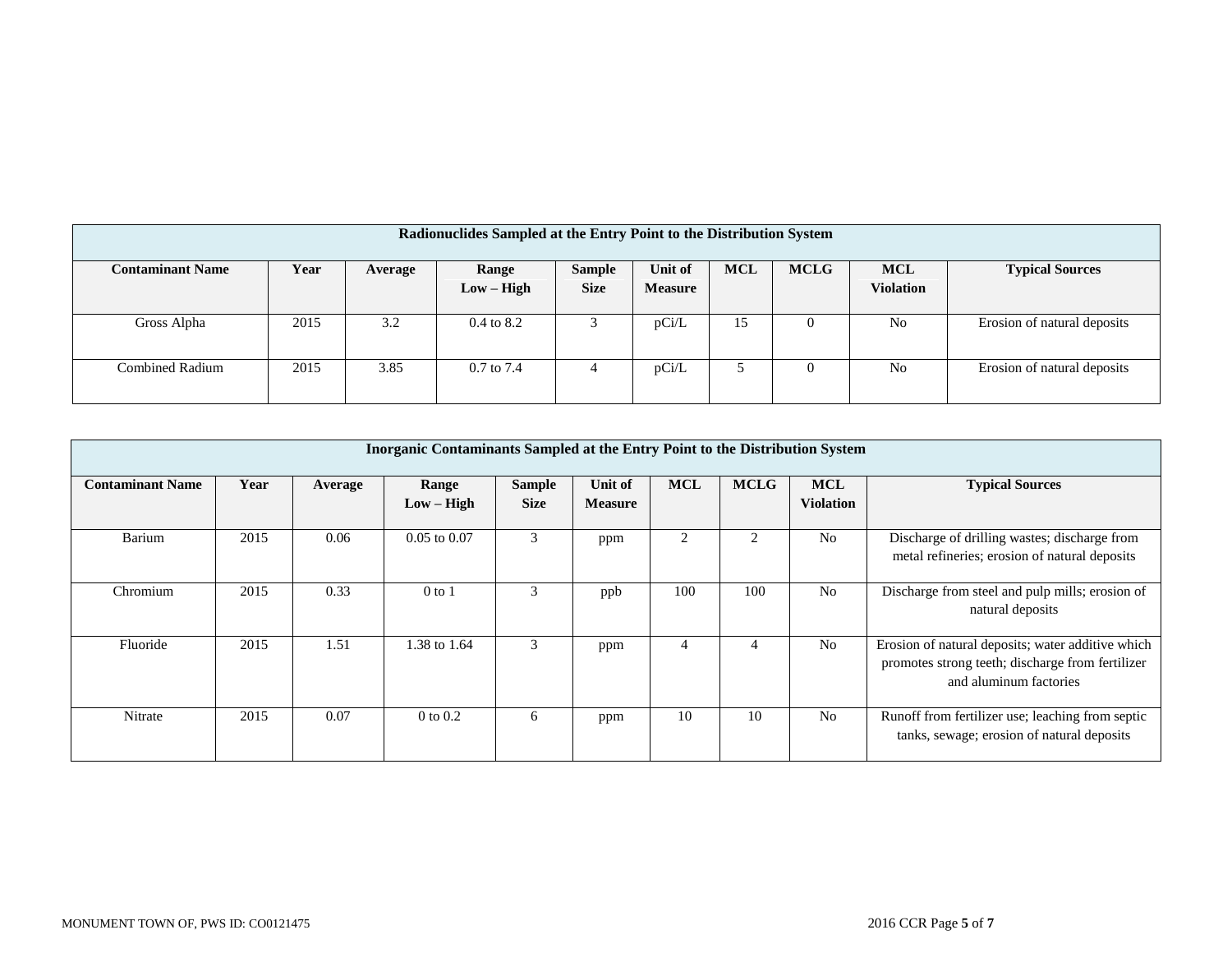| Radionuclides Sampled at the Entry Point to the Distribution System |      |         |                       |                              |                           |            |             |                                |                             |
|---------------------------------------------------------------------|------|---------|-----------------------|------------------------------|---------------------------|------------|-------------|--------------------------------|-----------------------------|
| <b>Contaminant Name</b>                                             | Year | Average | Range<br>$Low - High$ | <b>Sample</b><br><b>Size</b> | Unit of<br><b>Measure</b> | <b>MCL</b> | <b>MCLG</b> | <b>MCL</b><br><b>Violation</b> | <b>Typical Sources</b>      |
| Gross Alpha                                                         | 2015 | 3.2     | $0.4 \text{ to } 8.2$ |                              | pCi/L                     | 15         | $\theta$    | No                             | Erosion of natural deposits |
| <b>Combined Radium</b>                                              | 2015 | 3.85    | $0.7 \text{ to } 7.4$ |                              | pCi/L                     |            | $\theta$    | N <sub>0</sub>                 | Erosion of natural deposits |

|                         | Inorganic Contaminants Sampled at the Entry Point to the Distribution System |         |                       |                              |                           |                |                |                                |                                                                                                                                 |  |
|-------------------------|------------------------------------------------------------------------------|---------|-----------------------|------------------------------|---------------------------|----------------|----------------|--------------------------------|---------------------------------------------------------------------------------------------------------------------------------|--|
| <b>Contaminant Name</b> | Year                                                                         | Average | Range<br>$Low - High$ | <b>Sample</b><br><b>Size</b> | Unit of<br><b>Measure</b> | <b>MCL</b>     | <b>MCLG</b>    | <b>MCL</b><br><b>Violation</b> | <b>Typical Sources</b>                                                                                                          |  |
| Barium                  | 2015                                                                         | 0.06    | $0.05$ to $0.07$      | 3                            | ppm                       | $\mathfrak{D}$ | $\overline{2}$ | N <sub>0</sub>                 | Discharge of drilling wastes; discharge from<br>metal refineries; erosion of natural deposits                                   |  |
| Chromium                | 2015                                                                         | 0.33    | $0$ to $1$            | 3                            | ppb                       | 100            | 100            | N <sub>0</sub>                 | Discharge from steel and pulp mills; erosion of<br>natural deposits                                                             |  |
| Fluoride                | 2015                                                                         | 1.51    | 1.38 to 1.64          | 3                            | ppm                       | 4              | 4              | N <sub>0</sub>                 | Erosion of natural deposits; water additive which<br>promotes strong teeth; discharge from fertilizer<br>and aluminum factories |  |
| Nitrate                 | 2015                                                                         | 0.07    | $0$ to $0.2$          | 6                            | ppm                       | 10             | 10             | N <sub>0</sub>                 | Runoff from fertilizer use; leaching from septic<br>tanks, sewage; erosion of natural deposits                                  |  |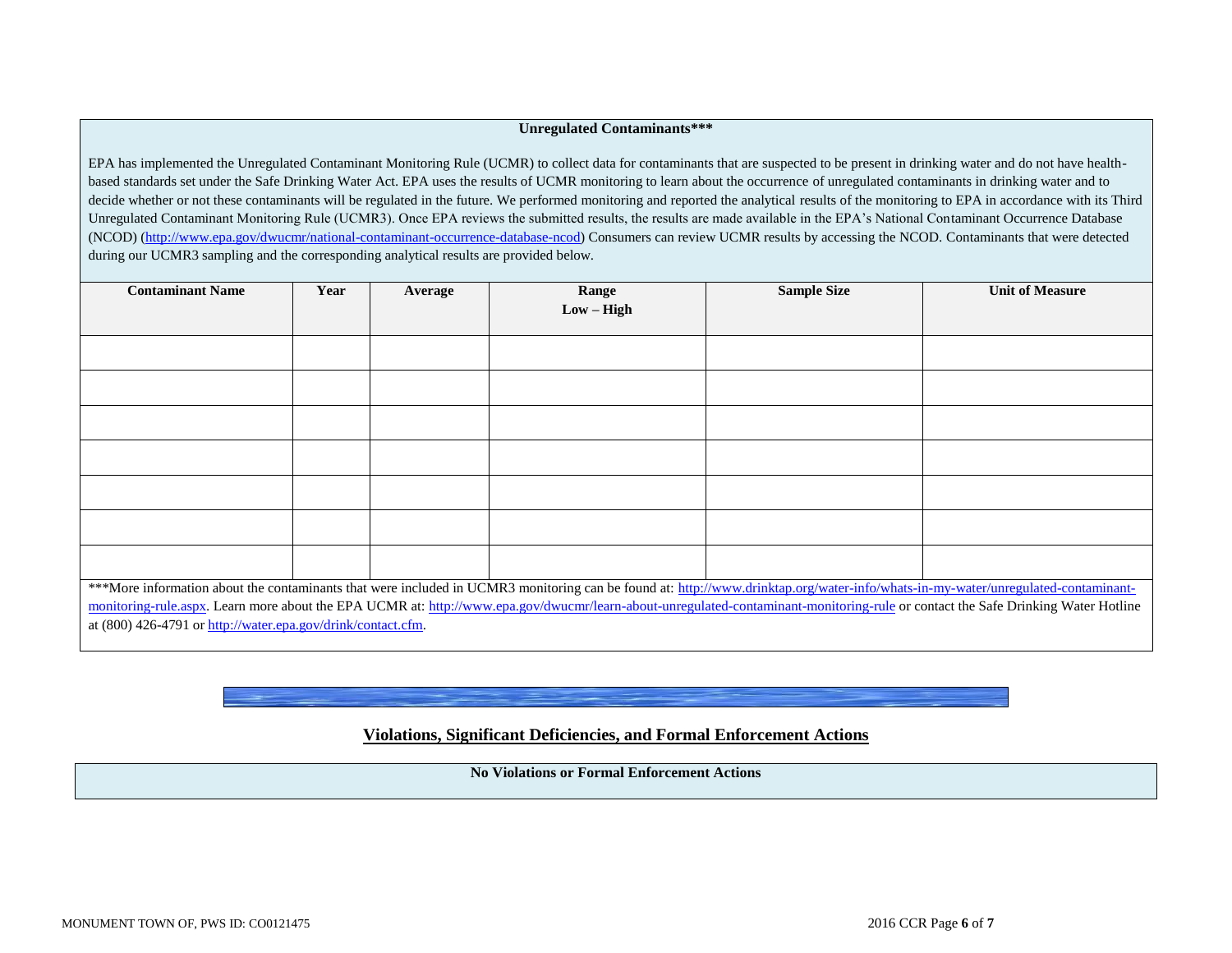### **Unregulated Contaminants\*\*\***

EPA has implemented the Unregulated Contaminant Monitoring Rule (UCMR) to collect data for contaminants that are suspected to be present in drinking water and do not have healthbased standards set under the Safe Drinking Water Act. EPA uses the results of UCMR monitoring to learn about the occurrence of unregulated contaminants in drinking water and to decide whether or not these contaminants will be regulated in the future. We performed monitoring and reported the analytical results of the monitoring to EPA in accordance with its Third Unregulated Contaminant Monitoring Rule (UCMR3). Once EPA reviews the submitted results, the results are made available in the EPA's National Contaminant Occurrence Database (NCOD) [\(http://www.epa.gov/dwucmr/national-contaminant-occurrence-database-ncod\)](http://www.epa.gov/dwucmr/national-contaminant-occurrence-database-ncod) Consumers can review UCMR results by accessing the NCOD. Contaminants that were detected during our UCMR3 sampling and the corresponding analytical results are provided below.

| <b>Contaminant Name</b>                                                                                                                                                                                                                                                                                                                                                                                                                | Year | Average | Range<br>$Low - High$ | <b>Sample Size</b> | <b>Unit of Measure</b> |  |  |
|----------------------------------------------------------------------------------------------------------------------------------------------------------------------------------------------------------------------------------------------------------------------------------------------------------------------------------------------------------------------------------------------------------------------------------------|------|---------|-----------------------|--------------------|------------------------|--|--|
|                                                                                                                                                                                                                                                                                                                                                                                                                                        |      |         |                       |                    |                        |  |  |
|                                                                                                                                                                                                                                                                                                                                                                                                                                        |      |         |                       |                    |                        |  |  |
|                                                                                                                                                                                                                                                                                                                                                                                                                                        |      |         |                       |                    |                        |  |  |
|                                                                                                                                                                                                                                                                                                                                                                                                                                        |      |         |                       |                    |                        |  |  |
|                                                                                                                                                                                                                                                                                                                                                                                                                                        |      |         |                       |                    |                        |  |  |
|                                                                                                                                                                                                                                                                                                                                                                                                                                        |      |         |                       |                    |                        |  |  |
|                                                                                                                                                                                                                                                                                                                                                                                                                                        |      |         |                       |                    |                        |  |  |
| ***More information about the contaminants that were included in UCMR3 monitoring can be found at: http://www.drinktap.org/water-info/whats-in-my-water/unregulated-contaminant-<br>monitoring-rule.aspx. Learn more about the EPA UCMR at: http://www.epa.gov/dwucmr/learn-about-unregulated-contaminant-monitoring-rule or contact the Safe Drinking Water Hotline<br>at $(800)$ 426-4791 or http://water.epa.gov/drink/contact.cfm. |      |         |                       |                    |                        |  |  |

# **Violations, Significant Deficiencies, and Formal Enforcement Actions**

**No Violations or Formal Enforcement Actions**